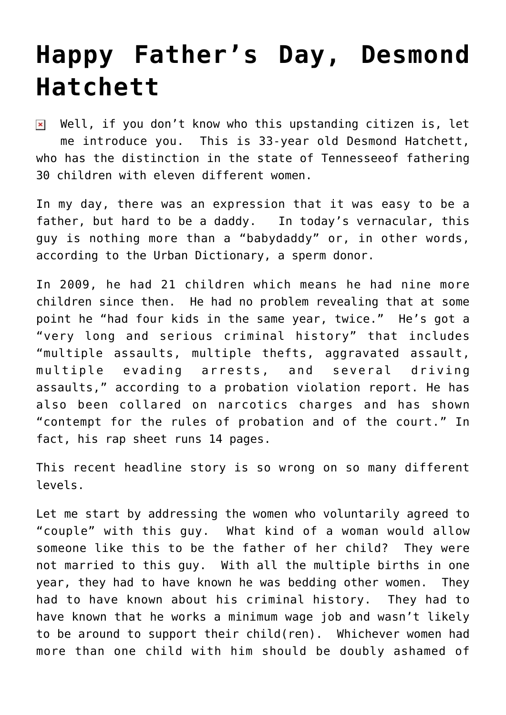## **[Happy Father's Day, Desmond](https://bernardgoldberg.com/happy-fathers-day-desmond-hatchett/) [Hatchett](https://bernardgoldberg.com/happy-fathers-day-desmond-hatchett/)**

Well, if you don't know who this upstanding citizen is, let  $\pmb{\times}$ me introduce you. This is 33-year old Desmond Hatchett, who has the distinction in the state of Tennesseeof fathering 30 children with eleven different women.

In my day, there was an expression that it was easy to be a father, but hard to be a daddy. In today's vernacular, this guy is nothing more than a "babydaddy" or, in other words, according to the Urban Dictionary, a sperm donor.

In 2009, he had 21 children which means he had nine more children since then. He had no problem revealing that at some point he "had four kids in the same year, twice." He's got a "very long and serious criminal history" that includes "multiple assaults, multiple thefts, aggravated assault, multiple evading arrests, and several driving assaults," [according to a probation violation report](http://www.thesmokinggun.com/file/desmond-hatchett-probation-violation?page=0). He has also been collared on narcotics charges and has shown "contempt for the rules of probation and of the court." In fact, his rap sheet runs 14 pages.

This recent headline story is so wrong on so many different levels.

Let me start by addressing the women who voluntarily agreed to "couple" with this guy. What kind of a woman would allow someone like this to be the father of her child? They were not married to this guy. With all the multiple births in one year, they had to have known he was bedding other women. They had to have known about his criminal history. They had to have known that he works a minimum wage job and wasn't likely to be around to support their child(ren). Whichever women had more than one child with him should be doubly ashamed of